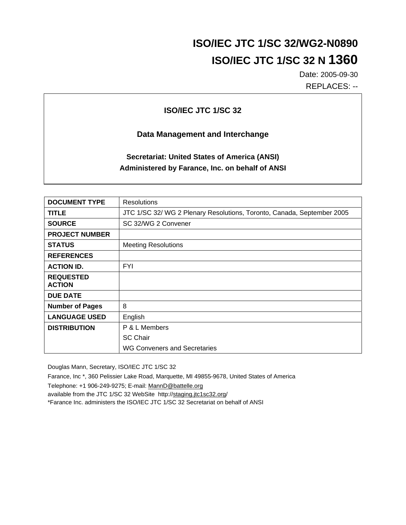# **ISO/IEC JTC 1/SC 32/WG2-N0890 ISO/IEC JTC 1/SC 32 N 1360**

Date: 2005-09-30 REPLACES: --

## **ISO/IEC JTC 1/SC 32**

### **Data Management and Interchange**

## **Secretariat: United States of America (ANSI) Administered by Farance, Inc. on behalf of ANSI**

| <b>DOCUMENT TYPE</b>              | <b>Resolutions</b>                                                     |
|-----------------------------------|------------------------------------------------------------------------|
| <b>TITLE</b>                      | JTC 1/SC 32/ WG 2 Plenary Resolutions, Toronto, Canada, September 2005 |
| <b>SOURCE</b>                     | SC 32/WG 2 Convener                                                    |
| <b>PROJECT NUMBER</b>             |                                                                        |
| <b>STATUS</b>                     | <b>Meeting Resolutions</b>                                             |
| <b>REFERENCES</b>                 |                                                                        |
| <b>ACTION ID.</b>                 | <b>FYI</b>                                                             |
| <b>REQUESTED</b><br><b>ACTION</b> |                                                                        |
| <b>DUE DATE</b>                   |                                                                        |
| <b>Number of Pages</b>            | 8                                                                      |
| <b>LANGUAGE USED</b>              | English                                                                |
| <b>DISTRIBUTION</b>               | P & L Members                                                          |
|                                   | <b>SC Chair</b>                                                        |
|                                   | WG Conveners and Secretaries                                           |

Douglas Mann, Secretary, ISO/IEC JTC 1/SC 32

Farance, Inc \*, 360 Pelissier Lake Road, Marquette, MI 49855-9678, United States of America

Telephone: +1 906-249-9275; E-mail: MannD@battelle.org

available from the JTC 1/SC 32 WebSite http://staging.jtc1sc32.org/

\*Farance Inc. administers the ISO/IEC JTC 1/SC 32 Secretariat on behalf of ANSI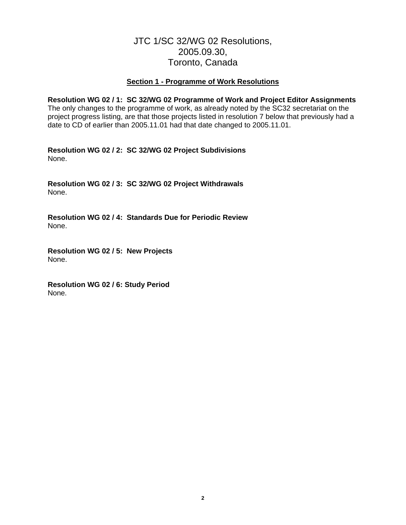## JTC 1/SC 32/WG 02 Resolutions, 2005.09.30, Toronto, Canada

#### **Section 1 - Programme of Work Resolutions**

**Resolution WG 02 / 1: SC 32/WG 02 Programme of Work and Project Editor Assignments**  The only changes to the programme of work, as already noted by the SC32 secretariat on the project progress listing, are that those projects listed in resolution 7 below that previously had a date to CD of earlier than 2005.11.01 had that date changed to 2005.11.01.

**Resolution WG 02 / 2: SC 32/WG 02 Project Subdivisions**  None.

**Resolution WG 02 / 3: SC 32/WG 02 Project Withdrawals**  None.

**Resolution WG 02 / 4: Standards Due for Periodic Review**  None.

**Resolution WG 02 / 5: New Projects**  None.

**Resolution WG 02 / 6: Study Period**  None.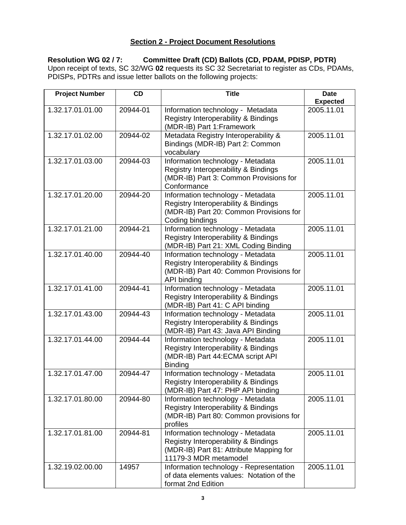## **Section 2 - Project Document Resolutions**

## **Resolution WG 02 / 7: Committee Draft (CD) Ballots (CD, PDAM, PDISP, PDTR)**

Upon receipt of texts, SC 32/WG **02** requests its SC 32 Secretariat to register as CDs, PDAMs, PDISPs, PDTRs and issue letter ballots on the following projects:

| <b>Project Number</b> | CD       | <b>Title</b>                                                                                                                                  | <b>Date</b>     |
|-----------------------|----------|-----------------------------------------------------------------------------------------------------------------------------------------------|-----------------|
|                       |          |                                                                                                                                               | <b>Expected</b> |
| 1.32.17.01.01.00      | 20944-01 | Information technology - Metadata<br>Registry Interoperability & Bindings<br>(MDR-IB) Part 1: Framework                                       | 2005.11.01      |
| 1.32.17.01.02.00      | 20944-02 | Metadata Registry Interoperability &<br>Bindings (MDR-IB) Part 2: Common<br>vocabulary                                                        | 2005.11.01      |
| 1.32.17.01.03.00      | 20944-03 | Information technology - Metadata<br>Registry Interoperability & Bindings<br>(MDR-IB) Part 3: Common Provisions for<br>Conformance            | 2005.11.01      |
| 1.32.17.01.20.00      | 20944-20 | Information technology - Metadata<br>Registry Interoperability & Bindings<br>(MDR-IB) Part 20: Common Provisions for<br>Coding bindings       | 2005.11.01      |
| 1.32.17.01.21.00      | 20944-21 | Information technology - Metadata<br>Registry Interoperability & Bindings<br>(MDR-IB) Part 21: XML Coding Binding                             | 2005.11.01      |
| 1.32.17.01.40.00      | 20944-40 | Information technology - Metadata<br>Registry Interoperability & Bindings<br>(MDR-IB) Part 40: Common Provisions for<br>API binding           | 2005.11.01      |
| 1.32.17.01.41.00      | 20944-41 | Information technology - Metadata<br>Registry Interoperability & Bindings<br>(MDR-IB) Part 41: C API binding                                  | 2005.11.01      |
| 1.32.17.01.43.00      | 20944-43 | Information technology - Metadata<br>Registry Interoperability & Bindings<br>(MDR-IB) Part 43: Java API Binding                               | 2005.11.01      |
| 1.32.17.01.44.00      | 20944-44 | Information technology - Metadata<br>Registry Interoperability & Bindings<br>(MDR-IB) Part 44: ECMA script API<br><b>Binding</b>              | 2005.11.01      |
| 1.32.17.01.47.00      | 20944-47 | Information technology - Metadata<br>Registry Interoperability & Bindings<br>(MDR-IB) Part 47: PHP API binding                                | 2005.11.01      |
| 1.32.17.01.80.00      | 20944-80 | Information technology - Metadata<br>Registry Interoperability & Bindings<br>(MDR-IB) Part 80: Common provisions for<br>profiles              | 2005.11.01      |
| 1.32.17.01.81.00      | 20944-81 | Information technology - Metadata<br>Registry Interoperability & Bindings<br>(MDR-IB) Part 81: Attribute Mapping for<br>11179-3 MDR metamodel | 2005.11.01      |
| 1.32.19.02.00.00      | 14957    | Information technology - Representation<br>of data elements values: Notation of the<br>format 2nd Edition                                     | 2005.11.01      |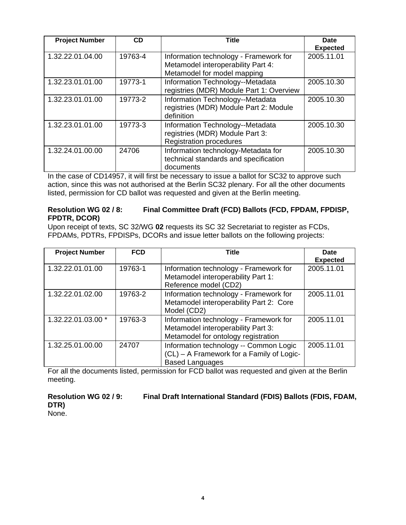| <b>Project Number</b> | <b>CD</b> | Title                                                                                                       | <b>Date</b><br><b>Expected</b> |
|-----------------------|-----------|-------------------------------------------------------------------------------------------------------------|--------------------------------|
| 1.32.22.01.04.00      | 19763-4   | Information technology - Framework for<br>Metamodel interoperability Part 4:<br>Metamodel for model mapping | 2005.11.01                     |
| 1.32.23.01.01.00      | 19773-1   | Information Technology--Metadata<br>registries (MDR) Module Part 1: Overview                                | 2005.10.30                     |
| 1.32.23.01.01.00      | 19773-2   | Information Technology--Metadata<br>registries (MDR) Module Part 2: Module<br>definition                    | 2005.10.30                     |
| 1.32.23.01.01.00      | 19773-3   | Information Technology--Metadata<br>registries (MDR) Module Part 3:<br><b>Registration procedures</b>       | 2005.10.30                     |
| 1.32.24.01.00.00      | 24706     | Information technology-Metadata for<br>technical standards and specification<br>documents                   | 2005.10.30                     |

In the case of CD14957, it will first be necessary to issue a ballot for SC32 to approve such action, since this was not authorised at the Berlin SC32 plenary. For all the other documents listed, permission for CD ballot was requested and given at the Berlin meeting.

#### **Resolution WG 02 / 8: Final Committee Draft (FCD) Ballots (FCD, FPDAM, FPDISP, FPDTR, DCOR)**

Upon receipt of texts, SC 32/WG **02** requests its SC 32 Secretariat to register as FCDs, FPDAMs, PDTRs, FPDISPs, DCORs and issue letter ballots on the following projects:

| <b>Project Number</b> | <b>FCD</b> | <b>Title</b>                                                                                                        | Date<br><b>Expected</b> |
|-----------------------|------------|---------------------------------------------------------------------------------------------------------------------|-------------------------|
| 1.32.22.01.01.00      | 19763-1    | Information technology - Framework for<br>Metamodel interoperability Part 1:<br>Reference model (CD2)               | 2005.11.01              |
| 1.32.22.01.02.00      | 19763-2    | Information technology - Framework for<br>Metamodel interoperability Part 2: Core<br>Model (CD2)                    | 2005.11.01              |
| 1.32.22.01.03.00 *    | 19763-3    | Information technology - Framework for<br>Metamodel interoperability Part 3:<br>Metamodel for ontology registration | 2005.11.01              |
| 1.32.25.01.00.00      | 24707      | Information technology -- Common Logic<br>(CL) - A Framework for a Family of Logic-<br><b>Based Languages</b>       | 2005.11.01              |

For all the documents listed, permission for FCD ballot was requested and given at the Berlin meeting.

**Resolution WG 02 / 9: Final Draft International Standard (FDIS) Ballots (FDIS, FDAM, DTR)** 

None.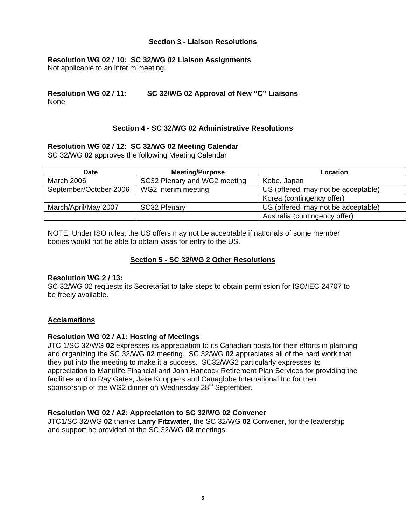#### **Section 3 - Liaison Resolutions**

#### **Resolution WG 02 / 10: SC 32/WG 02 Liaison Assignments**

Not applicable to an interim meeting.

#### **Resolution WG 02 / 11: SC 32/WG 02 Approval of New "C" Liaisons**  None.

#### **Section 4 - SC 32/WG 02 Administrative Resolutions**

#### **Resolution WG 02 / 12: SC 32/WG 02 Meeting Calendar**

SC 32/WG **02** approves the following Meeting Calendar

| <b>Date</b>            | <b>Meeting/Purpose</b>       | Location                            |
|------------------------|------------------------------|-------------------------------------|
| March 2006             | SC32 Plenary and WG2 meeting | Kobe, Japan                         |
| September/October 2006 | WG2 interim meeting          | US (offered, may not be acceptable) |
|                        |                              | Korea (contingency offer)           |
| March/April/May 2007   | SC32 Plenary                 | US (offered, may not be acceptable) |
|                        |                              | Australia (contingency offer)       |

NOTE: Under ISO rules, the US offers may not be acceptable if nationals of some member bodies would not be able to obtain visas for entry to the US.

#### **Section 5 - SC 32/WG 2 Other Resolutions**

#### **Resolution WG 2 / 13:**

SC 32/WG 02 requests its Secretariat to take steps to obtain permission for ISO/IEC 24707 to be freely available.

#### **Acclamations**

#### **Resolution WG 02 / A1: Hosting of Meetings**

JTC 1/SC 32/WG **02** expresses its appreciation to its Canadian hosts for their efforts in planning and organizing the SC 32/WG **02** meeting. SC 32/WG **02** appreciates all of the hard work that they put into the meeting to make it a success. SC32/WG2 particularly expresses its appreciation to Manulife Financial and John Hancock Retirement Plan Services for providing the facilities and to Ray Gates, Jake Knoppers and Canaglobe International Inc for their sponsorship of the WG2 dinner on Wednesday 28<sup>th</sup> September.

#### **Resolution WG 02 / A2: Appreciation to SC 32/WG 02 Convener**

JTC1/SC 32/WG **02** thanks **Larry Fitzwater**, the SC 32/WG **02** Convener, for the leadership and support he provided at the SC 32/WG **02** meetings.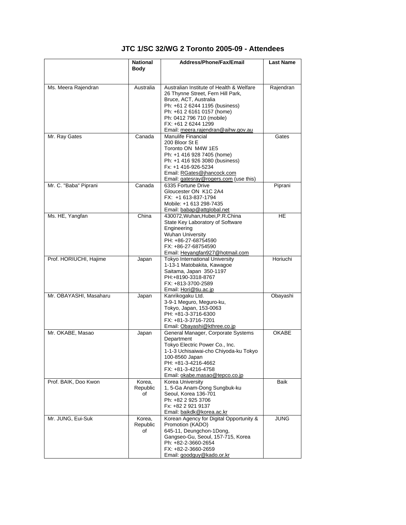## **JTC 1/SC 32/WG 2 Toronto 2005-09 - Attendees**

|                        | <b>National</b><br>Body | Address/Phone/Fax/Email                                      | <b>Last Name</b> |
|------------------------|-------------------------|--------------------------------------------------------------|------------------|
| Ms. Meera Rajendran    | Australia               | Australian Institute of Health & Welfare                     | Rajendran        |
|                        |                         | 26 Thynne Street, Fern Hill Park,                            |                  |
|                        |                         | Bruce, ACT, Australia                                        |                  |
|                        |                         | Ph: +61 2 6244 1195 (business)<br>Ph: +61 2 6161 0157 (home) |                  |
|                        |                         | Ph: 0412 796 710 (mobile)                                    |                  |
|                        |                         | FX: +61 2 6244 1299                                          |                  |
|                        |                         | Email: meera.rajendran@aihw.gov.au                           |                  |
| Mr. Ray Gates          | Canada                  | Manulife Financial                                           | Gates            |
|                        |                         | 200 Bloor St E<br>Toronto ON M4W 1E5                         |                  |
|                        |                         | Ph: +1 416 928 7405 (home)                                   |                  |
|                        |                         | Ph: +1 416 926 3080 (business)                               |                  |
|                        |                         | Fx: +1 416-926-5234                                          |                  |
|                        |                         | Email: RGates@jhancock.com                                   |                  |
|                        |                         | Email: gatesray@rogers.com (use this)<br>6335 Fortune Drive  |                  |
| Mr. C. "Baba" Piprani  | Canada                  | Gloucester ON K1C 2A4                                        | Piprani          |
|                        |                         | FX: +1 613-837-1794                                          |                  |
|                        |                         | Mobile: +1 613 298-7435                                      |                  |
|                        |                         | Email: babap@attglobal.net                                   |                  |
| Ms. HE, Yangfan        | China                   | 430072, Wuhan, Hubei, P.R. China                             | HE.              |
|                        |                         | State Key Laboratory of Software                             |                  |
|                        |                         | Engineering<br><b>Wuhan University</b>                       |                  |
|                        |                         | PH: +86-27-68754590                                          |                  |
|                        |                         | FX: +86-27-68754590                                          |                  |
|                        |                         | Email: Heyangfan927@hotmail.com                              |                  |
| Prof. HORIUCHI, Hajime | Japan                   | Tokyo International University                               | Horiuchi         |
|                        |                         | 1-13-1 Matobakita, Kawagoe<br>Saitama, Japan 350-1197        |                  |
|                        |                         | PH:+8190-3318-8767                                           |                  |
|                        |                         | FX: +813-3700-2589                                           |                  |
|                        |                         | Email: Hori@tiu.ac.jp                                        |                  |
| Mr. OBAYASHI, Masaharu | Japan                   | Kanrikogaku Ltd.<br>3-9-1 Meguro, Meguro-ku,                 | Obayashi         |
|                        |                         | Tokyo, Japan, 153-0063                                       |                  |
|                        |                         | PH: +81-3-3716-6300                                          |                  |
|                        |                         | FX: +81-3-3716-7201                                          |                  |
|                        |                         | Email: Obayashi@kthree.co.jp                                 |                  |
| Mr. OKABE, Masao       | Japan                   | General Manager, Corporate Systems<br>Department             | <b>OKABE</b>     |
|                        |                         | Tokyo Electric Power Co., Inc.                               |                  |
|                        |                         | 1-1-3 Uchisaiwai-cho Chiyoda-ku Tokyo                        |                  |
|                        |                         | 100-8560 Japan                                               |                  |
|                        |                         | PH: +81-3-4216-4662                                          |                  |
|                        |                         | $FX: +81-3-4216-4758$<br>Email: okabe.masao@tepco.co.jp      |                  |
| Prof. BAIK, Doo Kwon   | Korea,                  | Korea University                                             | Baik             |
|                        | Republic                | 1, 5-Ga Anam-Dong Sungbuk-ku                                 |                  |
|                        | of                      | Seoul, Korea 136-701                                         |                  |
|                        |                         | Ph: +82 2 925 3706                                           |                  |
|                        |                         | Fx: +82 2 921 9137<br>Email: baikdk@korea.ac.kr              |                  |
| Mr. JUNG, Eui-Suk      | Korea,                  | Korean Agency for Digital Opportunity &                      | JUNG             |
|                        | Republic                | Promotion (KADO)                                             |                  |
|                        | of                      | 645-11, Deungchon-1Dong,                                     |                  |
|                        |                         | Gangseo-Gu, Seoul, 157-715, Korea                            |                  |
|                        |                         | Ph: +82-2-3660-2654<br>FX: +82-2-3660-2659                   |                  |
|                        |                         | Email: goodguy@kado.or.kr                                    |                  |
|                        |                         |                                                              |                  |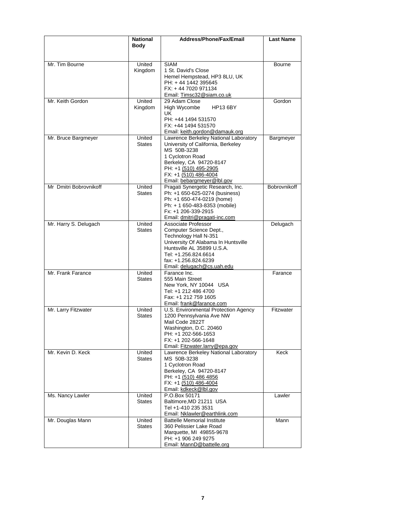|                        | <b>National</b>         | <b>Address/Phone/Fax/Email</b>                                                                                                                                                                                             | <b>Last Name</b> |
|------------------------|-------------------------|----------------------------------------------------------------------------------------------------------------------------------------------------------------------------------------------------------------------------|------------------|
|                        | <b>Body</b>             |                                                                                                                                                                                                                            |                  |
| Mr. Tim Bourne         | United<br>Kingdom       | <b>SIAM</b><br>1 St. David's Close<br>Hemel Hempstead, HP3 8LU, UK                                                                                                                                                         | <b>Bourne</b>    |
|                        |                         | PH: +44 1442 395645<br>FX: +44 7020 971134<br>Email: Timsc32@siam.co.uk                                                                                                                                                    |                  |
| Mr. Keith Gordon       | United<br>Kingdom       | 29 Adam Close<br>High Wycombe<br><b>HP13 6BY</b><br>UK.                                                                                                                                                                    | Gordon           |
|                        |                         | PH: +44 1494 531570<br>FX: +44 1494 531570<br>Email: keith.gordon@damauk.org                                                                                                                                               |                  |
| Mr. Bruce Bargmeyer    | United<br><b>States</b> | Lawrence Berkeley National Laboratory<br>University of California, Berkeley<br>MS 50B-3238<br>1 Cyclotron Road<br>Berkeley, CA 94720-8147<br>PH: +1 (510) 495-2905<br>FX: +1 (510) 486-4004<br>Email: bebargmeyer@lbl.gov  | Bargmeyer        |
| Mr Dmitri Bobrovnikoff | United<br><b>States</b> | Pragati Synergetic Research, Inc.<br>Ph: +1 650-625-0274 (business)<br>Ph: +1 650-474-0219 (home)<br>Ph: + 1 650-483-8353 (mobile)<br>Fx: +1 206-339-2915<br>Email: dmitri@pragati-inc.com                                 | Bobrovnikoff     |
| Mr. Harry S. Delugach  | United<br><b>States</b> | Associate Professor<br>Computer Science Dept.,<br>Technology Hall N-351<br>University Of Alabama In Huntsville<br>Huntsville AL 35899 U.S.A.<br>Tel: +1.256.824.6614<br>fax: +1.256.824.6239<br>Email: delugach@cs.uah.edu | Delugach         |
| Mr. Frank Farance      | United<br><b>States</b> | Farance Inc.<br>555 Main Street<br>New York, NY 10044 USA<br>Tel: +1 212 486 4700<br>Fax: +1 212 759 1605<br>Email: frank@farance.com                                                                                      | Farance          |
| Mr. Larry Fitzwater    | United<br><b>States</b> | U.S. Environmental Protection Agency<br>1200 Pennsylvania Ave NW<br>Mail Code 2822T<br>Washington, D.C. 20460<br>PH: +1 202-566-1653<br>FX: +1 202-566-1648<br>Email: Fitzwater.larry@epa.gov                              | Fitzwater        |
| Mr. Kevin D. Keck      | United<br><b>States</b> | Lawrence Berkeley National Laboratory<br>MS 50B-3238<br>1 Cyclotron Road<br>Berkeley, CA 94720-8147<br>PH: +1 (510) 486 4856<br>FX: +1 (510) 486-4004<br>Email: kdkeck@lbl.gov                                             | Keck             |
| Ms. Nancy Lawler       | United<br><b>States</b> | P.O.Box 50171<br>Baltimore, MD 21211 USA<br>Tel +1-410 235 3531<br>Email: Nklawler@earthlink.com                                                                                                                           | Lawler           |
| Mr. Douglas Mann       | United<br><b>States</b> | <b>Battelle Memorial Institute</b><br>360 Pelissier Lake Road<br>Marquette, MI 49855-9678<br>PH: +1 906 249 9275<br>Email: MannD@battelle.org                                                                              | Mann             |